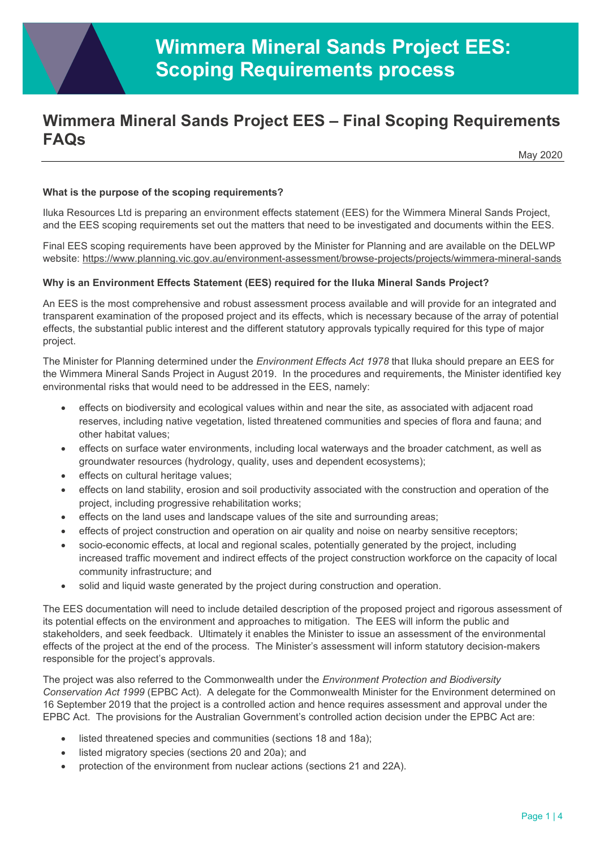# **Wimmera Mineral Sands Project EES – Final Scoping Requirements FAQs**

May 2020

## **What is the purpose of the scoping requirements?**

Iluka Resources Ltd is preparing an environment effects statement (EES) for the Wimmera Mineral Sands Project, and the EES scoping requirements set out the matters that need to be investigated and documents within the EES.

Final EES scoping requirements have been approved by the Minister for Planning and are available on the DELWP website:<https://www.planning.vic.gov.au/environment-assessment/browse-projects/projects/wimmera-mineral-sands>

#### **Why is an Environment Effects Statement (EES) required for the Iluka Mineral Sands Project?**

An EES is the most comprehensive and robust assessment process available and will provide for an integrated and transparent examination of the proposed project and its effects, which is necessary because of the array of potential effects, the substantial public interest and the different statutory approvals typically required for this type of major project.

The Minister for Planning determined under the *Environment Effects Act 1978* that Iluka should prepare an EES for the Wimmera Mineral Sands Project in August 2019. In the procedures and requirements, the Minister identified key environmental risks that would need to be addressed in the EES, namely:

- effects on biodiversity and ecological values within and near the site, as associated with adjacent road reserves, including native vegetation, listed threatened communities and species of flora and fauna; and other habitat values;
- effects on surface water environments, including local waterways and the broader catchment, as well as groundwater resources (hydrology, quality, uses and dependent ecosystems);
- effects on cultural heritage values;
- effects on land stability, erosion and soil productivity associated with the construction and operation of the project, including progressive rehabilitation works;
- effects on the land uses and landscape values of the site and surrounding areas;
- effects of project construction and operation on air quality and noise on nearby sensitive receptors;
- socio-economic effects, at local and regional scales, potentially generated by the project, including increased traffic movement and indirect effects of the project construction workforce on the capacity of local community infrastructure; and
- solid and liquid waste generated by the project during construction and operation.

The EES documentation will need to include detailed description of the proposed project and rigorous assessment of its potential effects on the environment and approaches to mitigation. The EES will inform the public and stakeholders, and seek feedback. Ultimately it enables the Minister to issue an assessment of the environmental effects of the project at the end of the process. The Minister's assessment will inform statutory decision-makers responsible for the project's approvals.

The project was also referred to the Commonwealth under the *Environment Protection and Biodiversity Conservation Act 1999* (EPBC Act). A delegate for the Commonwealth Minister for the Environment determined on 16 September 2019 that the project is a controlled action and hence requires assessment and approval under the EPBC Act. The provisions for the Australian Government's controlled action decision under the EPBC Act are:

- listed threatened species and communities (sections 18 and 18a);
- listed migratory species (sections 20 and 20a); and
- protection of the environment from nuclear actions (sections 21 and 22A).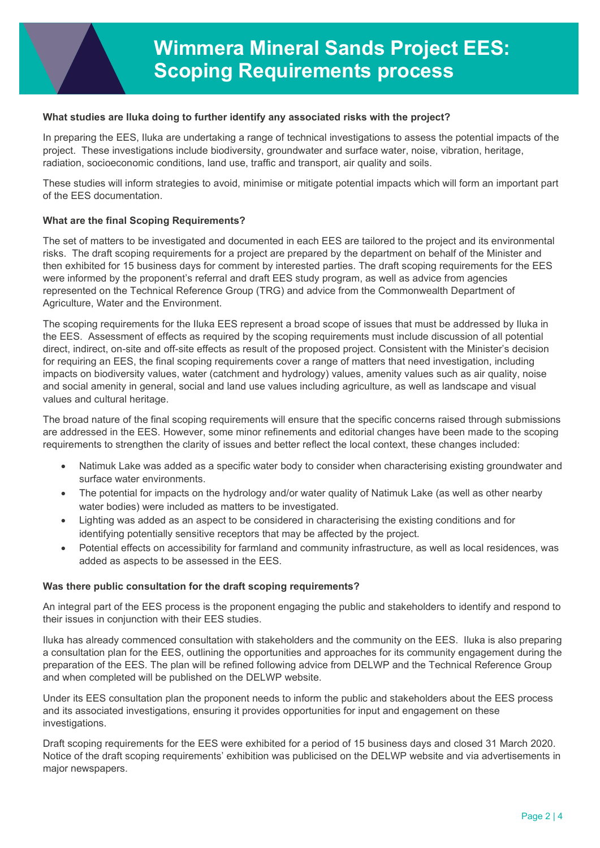#### **What studies are Iluka doing to further identify any associated risks with the project?**

In preparing the EES, Iluka are undertaking a range of technical investigations to assess the potential impacts of the project. These investigations include biodiversity, groundwater and surface water, noise, vibration, heritage, radiation, socioeconomic conditions, land use, traffic and transport, air quality and soils.

These studies will inform strategies to avoid, minimise or mitigate potential impacts which will form an important part of the EES documentation.

#### **What are the final Scoping Requirements?**

The set of matters to be investigated and documented in each EES are tailored to the project and its environmental risks. The draft scoping requirements for a project are prepared by the department on behalf of the Minister and then exhibited for 15 business days for comment by interested parties. The draft scoping requirements for the EES were informed by the proponent's referral and draft EES study program, as well as advice from agencies represented on the Technical Reference Group (TRG) and advice from the Commonwealth Department of Agriculture, Water and the Environment.

The scoping requirements for the Iluka EES represent a broad scope of issues that must be addressed by Iluka in the EES. Assessment of effects as required by the scoping requirements must include discussion of all potential direct, indirect, on-site and off-site effects as result of the proposed project. Consistent with the Minister's decision for requiring an EES, the final scoping requirements cover a range of matters that need investigation, including impacts on biodiversity values, water (catchment and hydrology) values, amenity values such as air quality, noise and social amenity in general, social and land use values including agriculture, as well as landscape and visual values and cultural heritage.

The broad nature of the final scoping requirements will ensure that the specific concerns raised through submissions are addressed in the EES. However, some minor refinements and editorial changes have been made to the scoping requirements to strengthen the clarity of issues and better reflect the local context, these changes included:

- Natimuk Lake was added as a specific water body to consider when characterising existing groundwater and surface water environments.
- The potential for impacts on the hydrology and/or water quality of Natimuk Lake (as well as other nearby water bodies) were included as matters to be investigated.
- Lighting was added as an aspect to be considered in characterising the existing conditions and for identifying potentially sensitive receptors that may be affected by the project.
- Potential effects on accessibility for farmland and community infrastructure, as well as local residences, was added as aspects to be assessed in the EES.

#### **Was there public consultation for the draft scoping requirements?**

An integral part of the EES process is the proponent engaging the public and stakeholders to identify and respond to their issues in conjunction with their EES studies.

Iluka has already commenced consultation with stakeholders and the community on the EES. Iluka is also preparing a consultation plan for the EES, outlining the opportunities and approaches for its community engagement during the preparation of the EES. The plan will be refined following advice from DELWP and the Technical Reference Group and when completed will be published on the DELWP website.

Under its EES consultation plan the proponent needs to inform the public and stakeholders about the EES process and its associated investigations, ensuring it provides opportunities for input and engagement on these investigations.

Draft scoping requirements for the EES were exhibited for a period of 15 business days and closed 31 March 2020. Notice of the draft scoping requirements' exhibition was publicised on the DELWP website and via advertisements in major newspapers.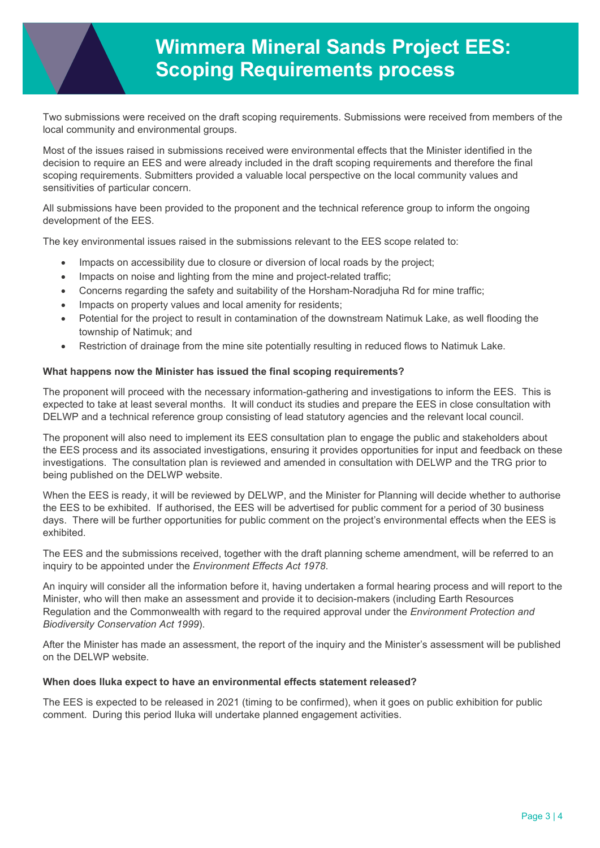

# **Wimmera Mineral Sands Project EES: Scoping Requirements process**

Two submissions were received on the draft scoping requirements. Submissions were received from members of the local community and environmental groups.

Most of the issues raised in submissions received were environmental effects that the Minister identified in the decision to require an EES and were already included in the draft scoping requirements and therefore the final scoping requirements. Submitters provided a valuable local perspective on the local community values and sensitivities of particular concern.

All submissions have been provided to the proponent and the technical reference group to inform the ongoing development of the EES.

The key environmental issues raised in the submissions relevant to the EES scope related to:

- Impacts on accessibility due to closure or diversion of local roads by the project;
- Impacts on noise and lighting from the mine and project-related traffic;
- Concerns regarding the safety and suitability of the Horsham-Noradjuha Rd for mine traffic;
- Impacts on property values and local amenity for residents;
- Potential for the project to result in contamination of the downstream Natimuk Lake, as well flooding the township of Natimuk; and
- Restriction of drainage from the mine site potentially resulting in reduced flows to Natimuk Lake.

#### **What happens now the Minister has issued the final scoping requirements?**

The proponent will proceed with the necessary information-gathering and investigations to inform the EES. This is expected to take at least several months. It will conduct its studies and prepare the EES in close consultation with DELWP and a technical reference group consisting of lead statutory agencies and the relevant local council.

The proponent will also need to implement its EES consultation plan to engage the public and stakeholders about the EES process and its associated investigations, ensuring it provides opportunities for input and feedback on these investigations. The consultation plan is reviewed and amended in consultation with DELWP and the TRG prior to being published on the DELWP website.

When the EES is ready, it will be reviewed by DELWP, and the Minister for Planning will decide whether to authorise the EES to be exhibited. If authorised, the EES will be advertised for public comment for a period of 30 business days. There will be further opportunities for public comment on the project's environmental effects when the EES is exhibited.

The EES and the submissions received, together with the draft planning scheme amendment, will be referred to an inquiry to be appointed under the *Environment Effects Act 1978*.

An inquiry will consider all the information before it, having undertaken a formal hearing process and will report to the Minister, who will then make an assessment and provide it to decision-makers (including Earth Resources Regulation and the Commonwealth with regard to the required approval under the *Environment Protection and Biodiversity Conservation Act 1999*).

After the Minister has made an assessment, the report of the inquiry and the Minister's assessment will be published on the DELWP website.

#### **When does Iluka expect to have an environmental effects statement released?**

The EES is expected to be released in 2021 (timing to be confirmed), when it goes on public exhibition for public comment. During this period Iluka will undertake planned engagement activities.